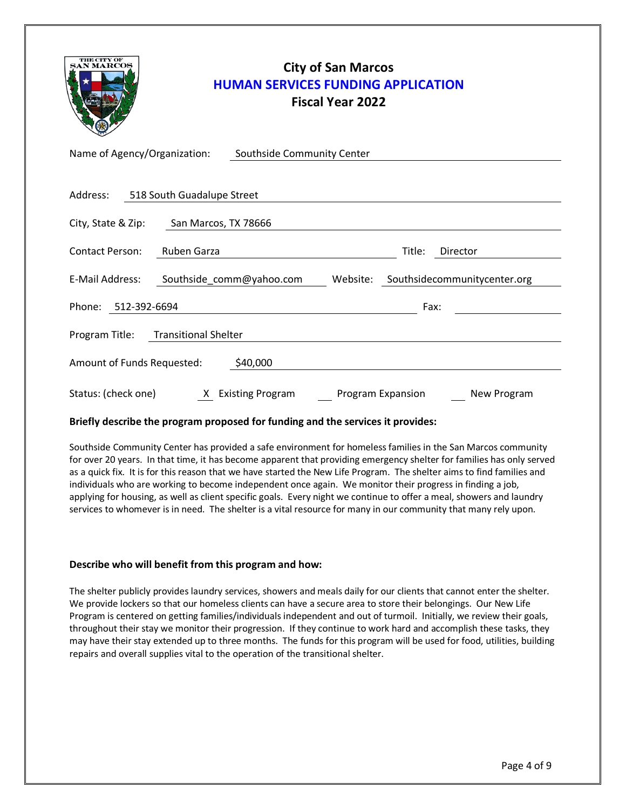| <b>THE CITY OF</b>           | <b>HUMAN SERVICES FUNDING APPLICATION</b> | <b>City of San Marcos</b><br><b>Fiscal Year 2022</b> |                   |                              |
|------------------------------|-------------------------------------------|------------------------------------------------------|-------------------|------------------------------|
| Name of Agency/Organization: | Southside Community Center                |                                                      |                   |                              |
| Address:                     | 518 South Guadalupe Street                |                                                      |                   |                              |
| City, State & Zip:           | San Marcos, TX 78666                      |                                                      |                   |                              |
| <b>Contact Person:</b>       | Ruben Garza                               |                                                      | Title:            | Director                     |
| E-Mail Address:              | Southside_comm@yahoo.com                  | Website:                                             |                   | Southsidecommunitycenter.org |
| Phone: 512-392-6694          |                                           |                                                      | Fax:              |                              |
| Program Title:               | <b>Transitional Shelter</b>               |                                                      |                   |                              |
| Amount of Funds Requested:   | \$40,000                                  |                                                      |                   |                              |
| Status: (check one)          | X Existing Program                        |                                                      | Program Expansion | New Program                  |

#### **Briefly describe the program proposed for funding and the services it provides:**

Southside Community Center has provided a safe environment for homeless families in the San Marcos community for over 20 years. In that time, it has become apparent that providing emergency shelter for families has only served as a quick fix. It is for this reason that we have started the New Life Program. The shelter aims to find families and individuals who are working to become independent once again. We monitor their progress in finding a job, applying for housing, as well as client specific goals. Every night we continue to offer a meal, showers and laundry services to whomever is in need. The shelter is a vital resource for many in our community that many rely upon.

#### **Describe who will benefit from this program and how:**

The shelter publicly provides laundry services, showers and meals daily for our clients that cannot enter the shelter. We provide lockers so that our homeless clients can have a secure area to store their belongings. Our New Life Program is centered on getting families/individuals independent and out of turmoil. Initially, we review their goals, throughout their stay we monitor their progression. If they continue to work hard and accomplish these tasks, they may have their stay extended up to three months. The funds for this program will be used for food, utilities, building repairs and overall supplies vital to the operation of the transitional shelter.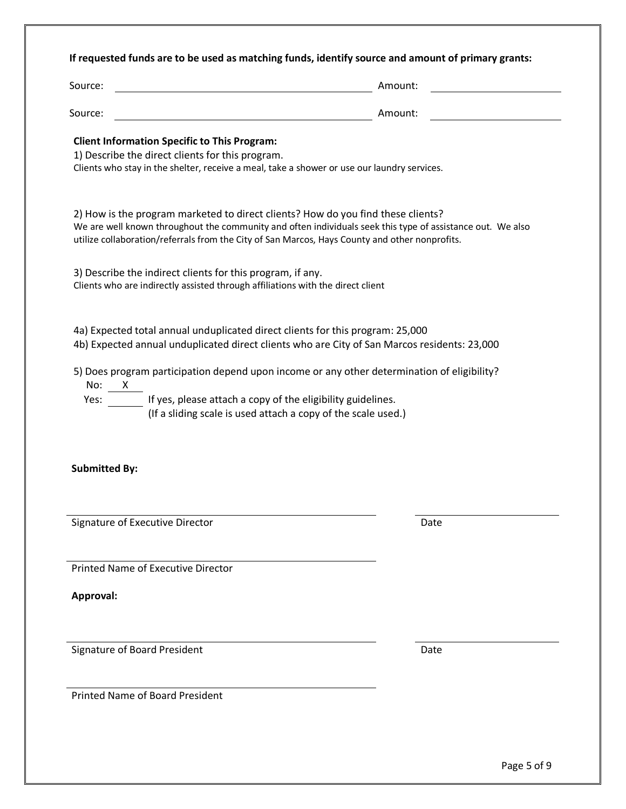## **If requested funds are to be used as matching funds, identify source and amount of primary grants:**

| Source:                                                                                                                                       | Amount:                                                                                                                                                                                                                                                                                          |
|-----------------------------------------------------------------------------------------------------------------------------------------------|--------------------------------------------------------------------------------------------------------------------------------------------------------------------------------------------------------------------------------------------------------------------------------------------------|
| Source:                                                                                                                                       | Amount:                                                                                                                                                                                                                                                                                          |
| <b>Client Information Specific to This Program:</b><br>1) Describe the direct clients for this program.                                       | Clients who stay in the shelter, receive a meal, take a shower or use our laundry services.                                                                                                                                                                                                      |
|                                                                                                                                               | 2) How is the program marketed to direct clients? How do you find these clients?<br>We are well known throughout the community and often individuals seek this type of assistance out. We also<br>utilize collaboration/referrals from the City of San Marcos, Hays County and other nonprofits. |
| 3) Describe the indirect clients for this program, if any.<br>Clients who are indirectly assisted through affiliations with the direct client |                                                                                                                                                                                                                                                                                                  |
|                                                                                                                                               | 4a) Expected total annual unduplicated direct clients for this program: 25,000<br>4b) Expected annual unduplicated direct clients who are City of San Marcos residents: 23,000<br>5) Does program participation depend upon income or any other determination of eligibility?                    |
| No: X<br>Yes:                                                                                                                                 | If yes, please attach a copy of the eligibility guidelines.<br>(If a sliding scale is used attach a copy of the scale used.)                                                                                                                                                                     |
|                                                                                                                                               |                                                                                                                                                                                                                                                                                                  |
| <b>Submitted By:</b>                                                                                                                          |                                                                                                                                                                                                                                                                                                  |
| Signature of Executive Director                                                                                                               | Date                                                                                                                                                                                                                                                                                             |
| <b>Printed Name of Executive Director</b>                                                                                                     |                                                                                                                                                                                                                                                                                                  |

Signature of Board President Date

Printed Name of Board President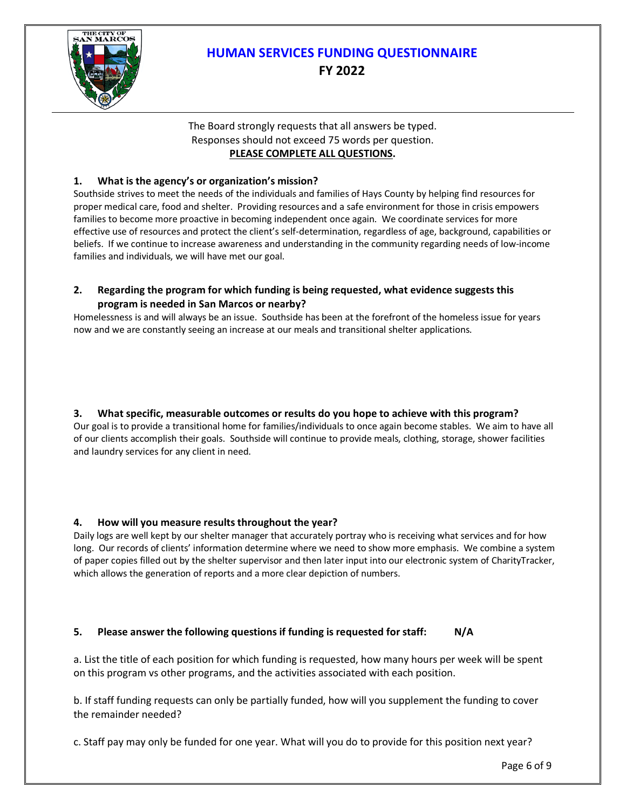

# **HUMAN SERVICES FUNDING QUESTIONNAIRE FY 2022**

## The Board strongly requests that all answers be typed. Responses should not exceed 75 words per question. **PLEASE COMPLETE ALL QUESTIONS.**

# **1. What is the agency's or organization's mission?**

Southside strives to meet the needs of the individuals and families of Hays County by helping find resources for proper medical care, food and shelter. Providing resources and a safe environment for those in crisis empowers families to become more proactive in becoming independent once again. We coordinate services for more effective use of resources and protect the client's self-determination, regardless of age, background, capabilities or beliefs. If we continue to increase awareness and understanding in the community regarding needs of low-income families and individuals, we will have met our goal.

## **2. Regarding the program for which funding is being requested, what evidence suggests this program is needed in San Marcos or nearby?**

Homelessness is and will always be an issue. Southside has been at the forefront of the homeless issue for years now and we are constantly seeing an increase at our meals and transitional shelter applications.

# **3. What specific, measurable outcomes or results do you hope to achieve with this program?**

Our goal is to provide a transitional home for families/individuals to once again become stables. We aim to have all of our clients accomplish their goals. Southside will continue to provide meals, clothing, storage, shower facilities and laundry services for any client in need.

## **4. How will you measure results throughout the year?**

Daily logs are well kept by our shelter manager that accurately portray who is receiving what services and for how long. Our records of clients' information determine where we need to show more emphasis. We combine a system of paper copies filled out by the shelter supervisor and then later input into our electronic system of CharityTracker, which allows the generation of reports and a more clear depiction of numbers.

## **5. Please answer the following questions if funding is requested for staff: N/A**

a. List the title of each position for which funding is requested, how many hours per week will be spent on this program vs other programs, and the activities associated with each position.

b. If staff funding requests can only be partially funded, how will you supplement the funding to cover the remainder needed?

c. Staff pay may only be funded for one year. What will you do to provide for this position next year?